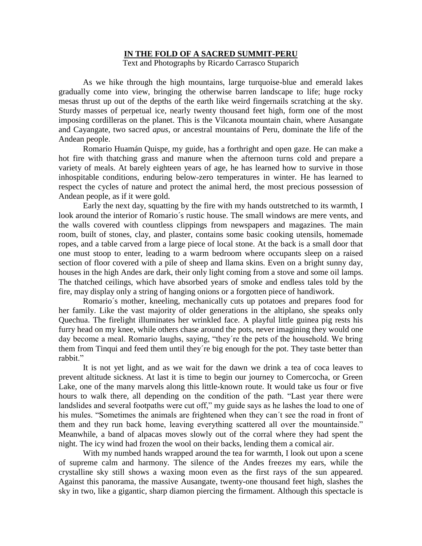## **IN THE FOLD OF A SACRED SUMMIT-PERU**

Text and Photographs by Ricardo Carrasco Stuparich

As we hike through the high mountains, large turquoise-blue and emerald lakes gradually come into view, bringing the otherwise barren landscape to life; huge rocky mesas thrust up out of the depths of the earth like weird fingernails scratching at the sky. Sturdy masses of perpetual ice, nearly twenty thousand feet high, form one of the most imposing cordilleras on the planet. This is the Vilcanota mountain chain, where Ausangate and Cayangate, two sacred *apus*, or ancestral mountains of Peru, dominate the life of the Andean people.

Romario Huamán Quispe, my guide, has a forthright and open gaze. He can make a hot fire with thatching grass and manure when the afternoon turns cold and prepare a variety of meals. At barely eighteen years of age, he has learned how to survive in those inhospitable conditions, enduring below-zero temperatures in winter. He has learned to respect the cycles of nature and protect the animal herd, the most precious possession of Andean people, as if it were gold.

Early the next day, squatting by the fire with my hands outstretched to its warmth, I look around the interior of Romario´s rustic house. The small windows are mere vents, and the walls covered with countless clippings from newspapers and magazines. The main room, built of stones, clay, and plaster, contains some basic cooking utensils, homemade ropes, and a table carved from a large piece of local stone. At the back is a small door that one must stoop to enter, leading to a warm bedroom where occupants sleep on a raised section of floor covered with a pile of sheep and llama skins. Even on a bright sunny day, houses in the high Andes are dark, their only light coming from a stove and some oil lamps. The thatched ceilings, which have absorbed years of smoke and endless tales told by the fire, may display only a string of hanging onions or a forgotten piece of handiwork.

Romario´s mother, kneeling, mechanically cuts up potatoes and prepares food for her family. Like the vast majority of older generations in the altiplano, she speaks only Quechua. The firelight illuminates her wrinkled face. A playful little guinea pig rests his furry head on my knee, while others chase around the pots, never imagining they would one day become a meal. Romario laughs, saying, "they´re the pets of the household. We bring them from Tinqui and feed them until they´re big enough for the pot. They taste better than rabbit."

It is not yet light, and as we wait for the dawn we drink a tea of coca leaves to prevent altitude sickness. At last it is time to begin our journey to Comercocha, or Green Lake, one of the many marvels along this little-known route. It would take us four or five hours to walk there, all depending on the condition of the path. "Last year there were landslides and several footpaths were cut off," my guide says as he lashes the load to one of his mules. "Sometimes the animals are frightened when they can´t see the road in front of them and they run back home, leaving everything scattered all over the mountainside." Meanwhile, a band of alpacas moves slowly out of the corral where they had spent the night. The icy wind had frozen the wool on their backs, lending them a comical air.

With my numbed hands wrapped around the tea for warmth, I look out upon a scene of supreme calm and harmony. The silence of the Andes freezes my ears, while the crystalline sky still shows a waxing moon even as the first rays of the sun appeared. Against this panorama, the massive Ausangate, twenty-one thousand feet high, slashes the sky in two, like a gigantic, sharp diamon piercing the firmament. Although this spectacle is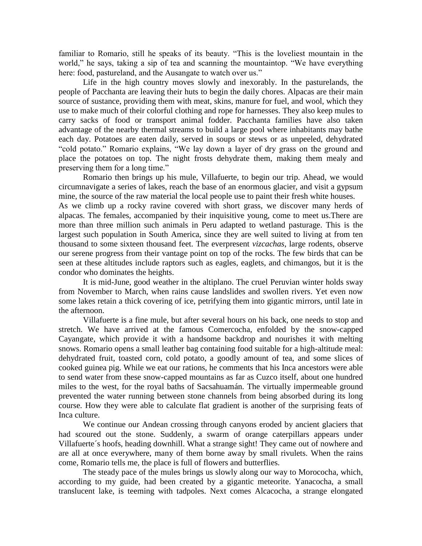familiar to Romario, still he speaks of its beauty. "This is the loveliest mountain in the world," he says, taking a sip of tea and scanning the mountaintop. "We have everything here: food, pastureland, and the Ausangate to watch over us."

Life in the high country moves slowly and inexorably. In the pasturelands, the people of Pacchanta are leaving their huts to begin the daily chores. Alpacas are their main source of sustance, providing them with meat, skins, manure for fuel, and wool, which they use to make much of their colorful clothing and rope for harnesses. They also keep mules to carry sacks of food or transport animal fodder. Pacchanta families have also taken advantage of the nearby thermal streams to build a large pool where inhabitants may bathe each day. Potatoes are eaten daily, served in soups or stews or as unpeeled, dehydrated "cold potato." Romario explains, "We lay down a layer of dry grass on the ground and place the potatoes on top. The night frosts dehydrate them, making them mealy and preserving them for a long time."

Romario then brings up his mule, Villafuerte, to begin our trip. Ahead, we would circumnavigate a series of lakes, reach the base of an enormous glacier, and visit a gypsum mine, the source of the raw material the local people use to paint their fresh white houses. As we climb up a rocky ravine covered with short grass, we discover many herds of alpacas. The females, accompanied by their inquisitive young, come to meet us.There are more than three million such animals in Peru adapted to wetland pasturage. This is the largest such population in South America, since they are well suited to living at from ten thousand to some sixteen thousand feet. The everpresent *vizcachas*, large rodents, observe our serene progress from their vantage point on top of the rocks. The few birds that can be seen at these altitudes include raptors such as eagles, eaglets, and chimangos, but it is the condor who dominates the heights.

It is mid-June, good weather in the altiplano. The cruel Peruvian winter holds sway from November to March, when rains cause landslides and swollen rivers. Yet even now some lakes retain a thick covering of ice, petrifying them into gigantic mirrors, until late in the afternoon.

Villafuerte is a fine mule, but after several hours on his back, one needs to stop and stretch. We have arrived at the famous Comercocha, enfolded by the snow-capped Cayangate, which provide it with a handsome backdrop and nourishes it with melting snows. Romario opens a small leather bag containing food suitable for a high-altitude meal: dehydrated fruit, toasted corn, cold potato, a goodly amount of tea, and some slices of cooked guinea pig. While we eat our rations, he comments that his Inca ancestors were able to send water from these snow-capped mountains as far as Cuzco itself, about one hundred miles to the west, for the royal baths of Sacsahuamán. The virtually impermeable ground prevented the water running between stone channels from being absorbed during its long course. How they were able to calculate flat gradient is another of the surprising feats of Inca culture.

We continue our Andean crossing through canyons eroded by ancient glaciers that had scoured out the stone. Suddenly, a swarm of orange caterpillars appears under Villafuerte´s hoofs, heading downhill. What a strange sight! They came out of nowhere and are all at once everywhere, many of them borne away by small rivulets. When the rains come, Romario tells me, the place is full of flowers and butterflies.

The steady pace of the mules brings us slowly along our way to Morococha, which, according to my guide, had been created by a gigantic meteorite. Yanacocha, a small translucent lake, is teeming with tadpoles. Next comes Alcacocha, a strange elongated